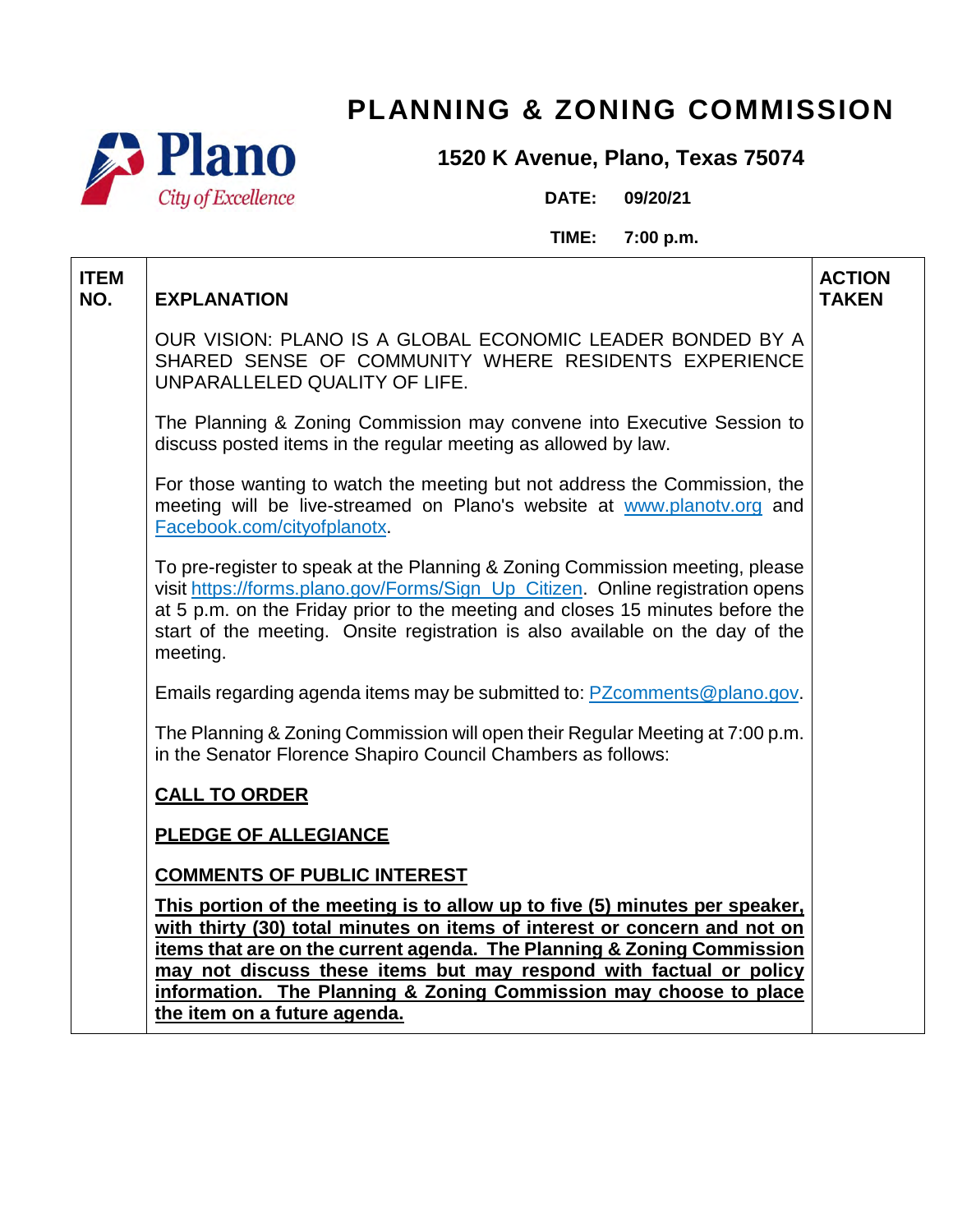



## **1520 K Avenue, Plano, Texas 75074**

**DATE: 09/20/21**

**TIME: 7:00 p.m.**

| <b>ITEM</b><br>NO. | <b>EXPLANATION</b>                                                                                                                                                                                                                                                                                                                           | <b>ACTION</b><br><b>TAKEN</b> |
|--------------------|----------------------------------------------------------------------------------------------------------------------------------------------------------------------------------------------------------------------------------------------------------------------------------------------------------------------------------------------|-------------------------------|
|                    | OUR VISION: PLANO IS A GLOBAL ECONOMIC LEADER BONDED BY A<br>SHARED SENSE OF COMMUNITY WHERE RESIDENTS EXPERIENCE<br>UNPARALLELED QUALITY OF LIFE.                                                                                                                                                                                           |                               |
|                    | The Planning & Zoning Commission may convene into Executive Session to<br>discuss posted items in the regular meeting as allowed by law.                                                                                                                                                                                                     |                               |
|                    | For those wanting to watch the meeting but not address the Commission, the<br>meeting will be live-streamed on Plano's website at www.planotv.org and<br>Facebook.com/cityofplanotx.                                                                                                                                                         |                               |
|                    | To pre-register to speak at the Planning & Zoning Commission meeting, please<br>visit https://forms.plano.gov/Forms/Sign_Up_Citizen. Online registration opens<br>at 5 p.m. on the Friday prior to the meeting and closes 15 minutes before the<br>start of the meeting. Onsite registration is also available on the day of the<br>meeting. |                               |
|                    | Emails regarding agenda items may be submitted to: PZcomments@plano.gov.                                                                                                                                                                                                                                                                     |                               |
|                    | The Planning & Zoning Commission will open their Regular Meeting at 7:00 p.m.<br>in the Senator Florence Shapiro Council Chambers as follows:                                                                                                                                                                                                |                               |
|                    | <b>CALL TO ORDER</b>                                                                                                                                                                                                                                                                                                                         |                               |
|                    | <b>PLEDGE OF ALLEGIANCE</b>                                                                                                                                                                                                                                                                                                                  |                               |
|                    | <b>COMMENTS OF PUBLIC INTEREST</b>                                                                                                                                                                                                                                                                                                           |                               |
|                    | This portion of the meeting is to allow up to five (5) minutes per speaker,<br>with thirty (30) total minutes on items of interest or concern and not on                                                                                                                                                                                     |                               |
|                    | items that are on the current agenda. The Planning & Zoning Commission                                                                                                                                                                                                                                                                       |                               |
|                    | may not discuss these items but may respond with factual or policy<br>information. The Planning & Zoning Commission may choose to place                                                                                                                                                                                                      |                               |
|                    | the item on a future agenda.                                                                                                                                                                                                                                                                                                                 |                               |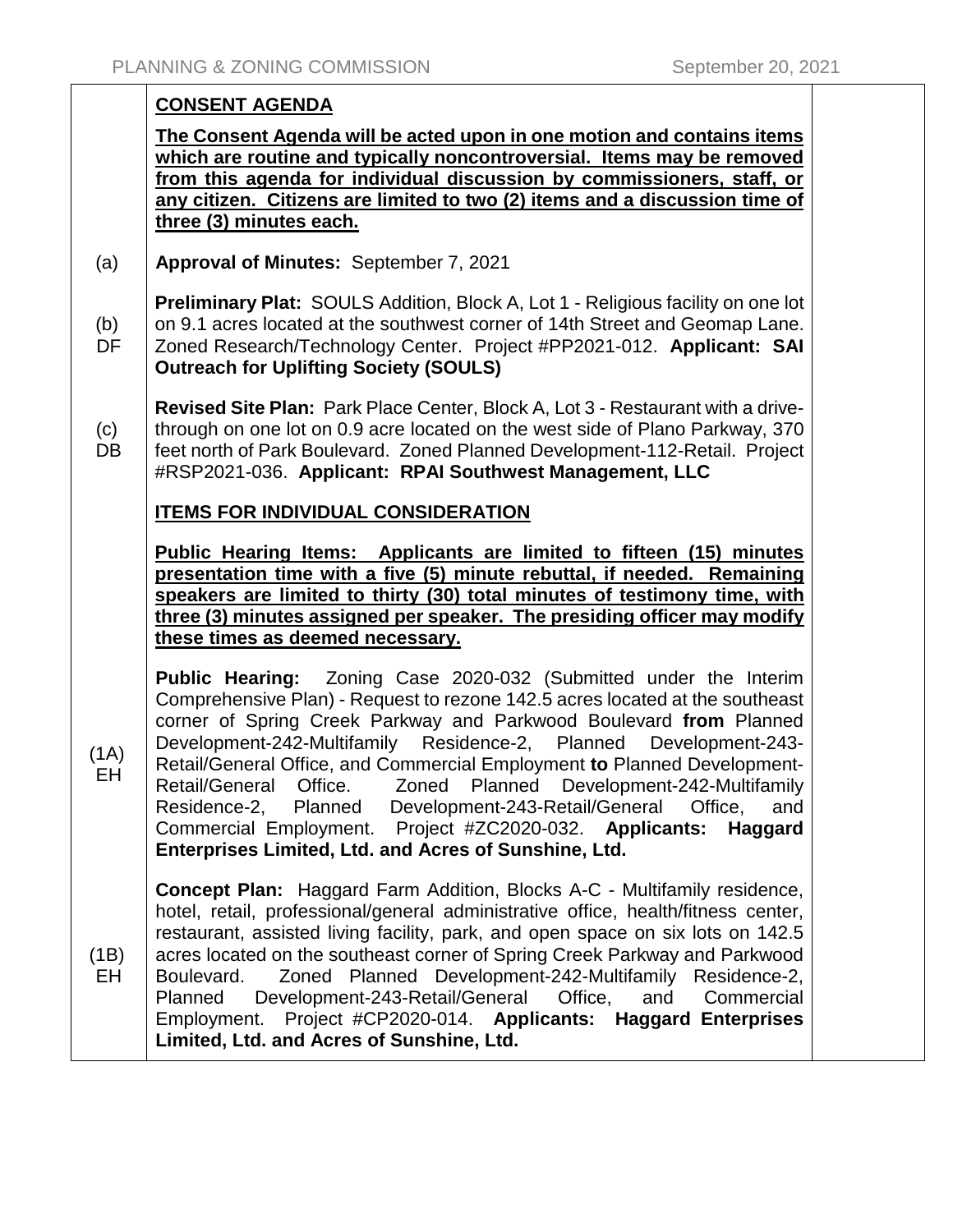## **CONSENT AGENDA The Consent Agenda will be acted upon in one motion and contains items which are routine and typically noncontroversial. Items may be removed from this agenda for individual discussion by commissioners, staff, or any citizen. Citizens are limited to two (2) items and a discussion time of three (3) minutes each.** (a) **Approval of Minutes:** September 7, 2021 (b) DF **Preliminary Plat:** SOULS Addition, Block A, Lot 1 - Religious facility on one lot on 9.1 acres located at the southwest corner of 14th Street and Geomap Lane. Zoned Research/Technology Center. Project #PP2021-012. **Applicant: SAI Outreach for Uplifting Society (SOULS)**  $(c)$ DB **Revised Site Plan:** Park Place Center, Block A, Lot 3 - Restaurant with a drivethrough on one lot on 0.9 acre located on the west side of Plano Parkway, 370 feet north of Park Boulevard. Zoned Planned Development-112-Retail. Project #RSP2021-036. **Applicant: RPAI Southwest Management, LLC ITEMS FOR INDIVIDUAL CONSIDERATION Public Hearing Items: Applicants are limited to fifteen (15) minutes presentation time with a five (5) minute rebuttal, if needed. Remaining speakers are limited to thirty (30) total minutes of testimony time, with three (3) minutes assigned per speaker. The presiding officer may modify these times as deemed necessary.**  $(1A)$ EH **Public Hearing:** Zoning Case 2020-032 (Submitted under the Interim Comprehensive Plan) - Request to rezone 142.5 acres located at the southeast corner of Spring Creek Parkway and Parkwood Boulevard **from** Planned Development-242-Multifamily Residence-2, Planned Development-243- Retail/General Office, and Commercial Employment **to** Planned Development-Retail/General Office. Zoned Planned Development-242-Multifamily Residence-2, Planned Development-243-Retail/General Office, and Commercial Employment. Project #ZC2020-032. **Applicants: Haggard Enterprises Limited, Ltd. and Acres of Sunshine, Ltd.** (1B) EH **Concept Plan:** Haggard Farm Addition, Blocks A-C - Multifamily residence, hotel, retail, professional/general administrative office, health/fitness center, restaurant, assisted living facility, park, and open space on six lots on 142.5 acres located on the southeast corner of Spring Creek Parkway and Parkwood Boulevard. Zoned Planned Development-242-Multifamily Residence-2, Planned Development-243-Retail/General Office, and Commercial Employment. Project #CP2020-014. **Applicants: Haggard Enterprises Limited, Ltd. and Acres of Sunshine, Ltd.**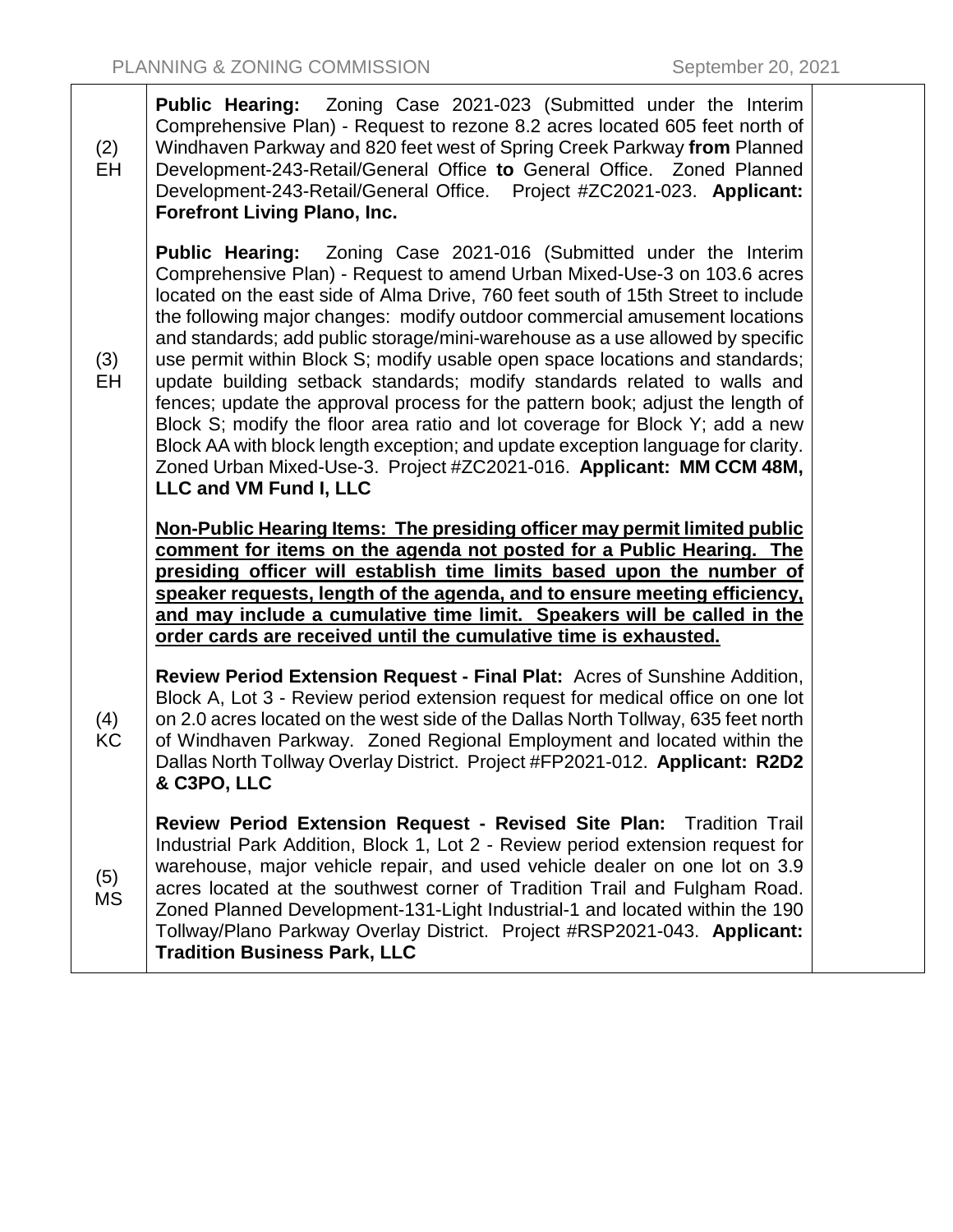| (2)<br><b>EH</b> | <b>Public Hearing:</b> Zoning Case 2021-023 (Submitted under the Interim<br>Comprehensive Plan) - Request to rezone 8.2 acres located 605 feet north of<br>Windhaven Parkway and 820 feet west of Spring Creek Parkway from Planned<br>Development-243-Retail/General Office to General Office. Zoned Planned<br>Development-243-Retail/General Office. Project #ZC2021-023. Applicant:<br><b>Forefront Living Plano, Inc.</b>                                                                                                                                                                                                                                                                                                                                                                                                                                                                                             |  |
|------------------|----------------------------------------------------------------------------------------------------------------------------------------------------------------------------------------------------------------------------------------------------------------------------------------------------------------------------------------------------------------------------------------------------------------------------------------------------------------------------------------------------------------------------------------------------------------------------------------------------------------------------------------------------------------------------------------------------------------------------------------------------------------------------------------------------------------------------------------------------------------------------------------------------------------------------|--|
| (3)<br>EH        | <b>Public Hearing:</b> Zoning Case 2021-016 (Submitted under the Interim<br>Comprehensive Plan) - Request to amend Urban Mixed-Use-3 on 103.6 acres<br>located on the east side of Alma Drive, 760 feet south of 15th Street to include<br>the following major changes: modify outdoor commercial amusement locations<br>and standards; add public storage/mini-warehouse as a use allowed by specific<br>use permit within Block S; modify usable open space locations and standards;<br>update building setback standards; modify standards related to walls and<br>fences; update the approval process for the pattern book; adjust the length of<br>Block S; modify the floor area ratio and lot coverage for Block Y; add a new<br>Block AA with block length exception; and update exception language for clarity.<br>Zoned Urban Mixed-Use-3. Project #ZC2021-016. Applicant: MM CCM 48M,<br>LLC and VM Fund I, LLC |  |
|                  | Non-Public Hearing Items: The presiding officer may permit limited public<br>comment for items on the agenda not posted for a Public Hearing. The<br>presiding officer will establish time limits based upon the number of<br>speaker requests, length of the agenda, and to ensure meeting efficiency,<br>and may include a cumulative time limit. Speakers will be called in the<br>order cards are received until the cumulative time is exhausted.                                                                                                                                                                                                                                                                                                                                                                                                                                                                     |  |
| (4)<br>KC        | <b>Review Period Extension Request - Final Plat: Acres of Sunshine Addition,</b><br>Block A, Lot 3 - Review period extension request for medical office on one lot<br>on 2.0 acres located on the west side of the Dallas North Tollway, 635 feet north<br>of Windhaven Parkway. Zoned Regional Employment and located within the<br>Dallas North Tollway Overlay District. Project #FP2021-012. Applicant: R2D2<br>& C3PO, LLC                                                                                                                                                                                                                                                                                                                                                                                                                                                                                            |  |
| (5)<br>MS        | Review Period Extension Request - Revised Site Plan: Tradition Trail<br>Industrial Park Addition, Block 1, Lot 2 - Review period extension request for<br>warehouse, major vehicle repair, and used vehicle dealer on one lot on 3.9<br>acres located at the southwest corner of Tradition Trail and Fulgham Road.<br>Zoned Planned Development-131-Light Industrial-1 and located within the 190<br>Tollway/Plano Parkway Overlay District. Project #RSP2021-043. Applicant:<br><b>Tradition Business Park, LLC</b>                                                                                                                                                                                                                                                                                                                                                                                                       |  |